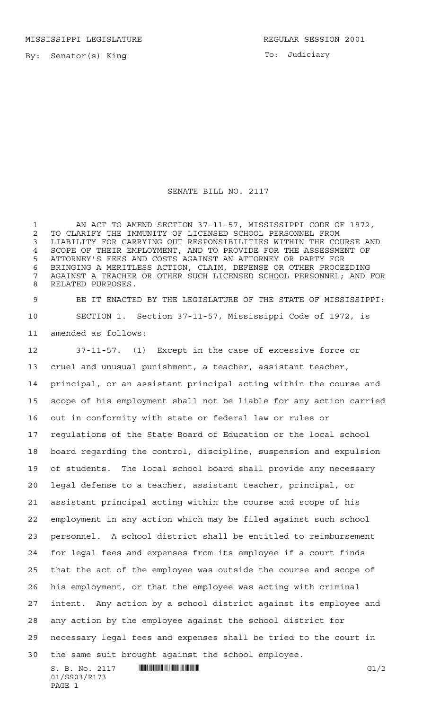MISSISSIPPI LEGISLATURE **REGULAR SESSION 2001** 

By: Senator(s) King

To: Judiciary

## SENATE BILL NO. 2117

1 AN ACT TO AMEND SECTION 37-11-57, MISSISSIPPI CODE OF 1972, 2 TO CLARIFY THE IMMUNITY OF LICENSED SCHOOL PERSONNEL FROM<br>3 LIABILITY FOR CARRYING OUT RESPONSIBILITIES WITHIN THE COU LIABILITY FOR CARRYING OUT RESPONSIBILITIES WITHIN THE COURSE AND SCOPE OF THEIR EMPLOYMENT, AND TO PROVIDE FOR THE ASSESSMENT OF ATTORNEY'S FEES AND COSTS AGAINST AN ATTORNEY OR PARTY FOR BRINGING A MERITLESS ACTION, CLAIM, DEFENSE OR OTHER PROCEEDING AGAINST A TEACHER OR OTHER SUCH LICENSED SCHOOL PERSONNEL; AND FOR RELATED PURPOSES.

 BE IT ENACTED BY THE LEGISLATURE OF THE STATE OF MISSISSIPPI: SECTION 1. Section 37-11-57, Mississippi Code of 1972, is amended as follows:

 $S. B. No. 2117$   $\qquad$   $\qquad$   $\qquad$   $\qquad$   $\qquad$   $\qquad$   $\qquad$   $\qquad$   $\qquad$   $\qquad$   $\qquad$   $\qquad$   $\qquad$   $\qquad$   $\qquad$   $\qquad$   $\qquad$   $\qquad$   $\qquad$   $\qquad$   $\qquad$   $\qquad$   $\qquad$   $\qquad$   $\qquad$   $\qquad$   $\qquad$   $\qquad$   $\qquad$   $\qquad$   $\qquad$   $\qquad$   $\qquad$   $\qquad$   $\q$  37-11-57. (1) Except in the case of excessive force or cruel and unusual punishment, a teacher, assistant teacher, principal, or an assistant principal acting within the course and scope of his employment shall not be liable for any action carried out in conformity with state or federal law or rules or regulations of the State Board of Education or the local school board regarding the control, discipline, suspension and expulsion of students. The local school board shall provide any necessary legal defense to a teacher, assistant teacher, principal, or assistant principal acting within the course and scope of his employment in any action which may be filed against such school personnel. A school district shall be entitled to reimbursement for legal fees and expenses from its employee if a court finds that the act of the employee was outside the course and scope of his employment, or that the employee was acting with criminal intent. Any action by a school district against its employee and any action by the employee against the school district for necessary legal fees and expenses shall be tried to the court in the same suit brought against the school employee.

01/SS03/R173 PAGE 1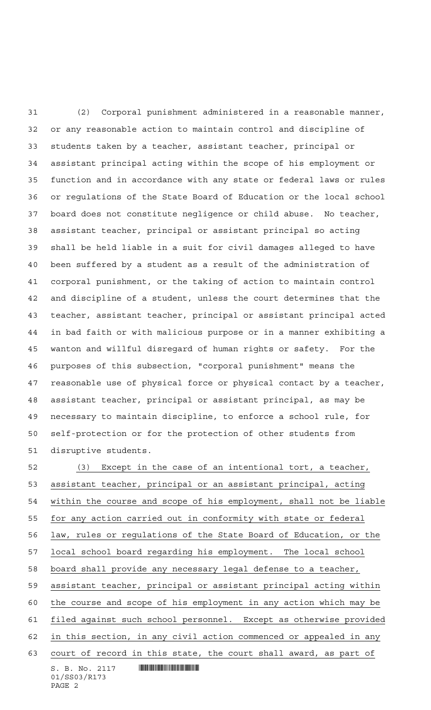(2) Corporal punishment administered in a reasonable manner, or any reasonable action to maintain control and discipline of students taken by a teacher, assistant teacher, principal or assistant principal acting within the scope of his employment or function and in accordance with any state or federal laws or rules or regulations of the State Board of Education or the local school board does not constitute negligence or child abuse. No teacher, assistant teacher, principal or assistant principal so acting shall be held liable in a suit for civil damages alleged to have been suffered by a student as a result of the administration of corporal punishment, or the taking of action to maintain control and discipline of a student, unless the court determines that the teacher, assistant teacher, principal or assistant principal acted in bad faith or with malicious purpose or in a manner exhibiting a wanton and willful disregard of human rights or safety. For the purposes of this subsection, "corporal punishment" means the reasonable use of physical force or physical contact by a teacher, assistant teacher, principal or assistant principal, as may be necessary to maintain discipline, to enforce a school rule, for self-protection or for the protection of other students from disruptive students.

 $S. B. No. 2117$  . We say the set of  $S. B. No. 2117$ 01/SS03/R173 (3) Except in the case of an intentional tort, a teacher, assistant teacher, principal or an assistant principal, acting within the course and scope of his employment, shall not be liable for any action carried out in conformity with state or federal law, rules or regulations of the State Board of Education, or the local school board regarding his employment. The local school board shall provide any necessary legal defense to a teacher, assistant teacher, principal or assistant principal acting within the course and scope of his employment in any action which may be filed against such school personnel. Except as otherwise provided in this section, in any civil action commenced or appealed in any court of record in this state, the court shall award, as part of

```
PAGE 2
```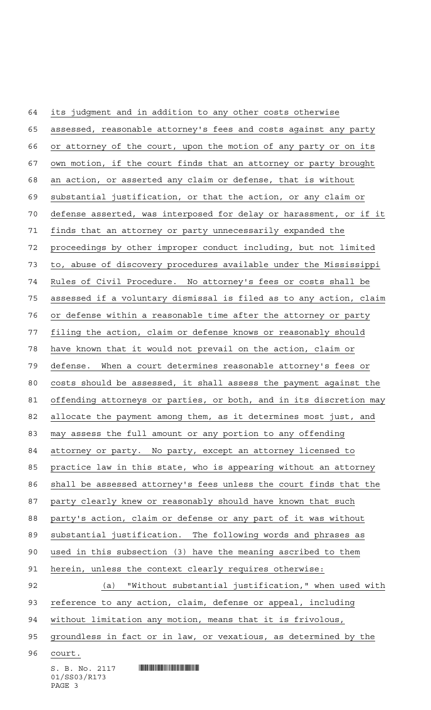$S. B. No. 2117$  . We say the set of  $S. B. No. 2117$  its judgment and in addition to any other costs otherwise assessed, reasonable attorney's fees and costs against any party or attorney of the court, upon the motion of any party or on its own motion, if the court finds that an attorney or party brought an action, or asserted any claim or defense, that is without substantial justification, or that the action, or any claim or defense asserted, was interposed for delay or harassment, or if it finds that an attorney or party unnecessarily expanded the proceedings by other improper conduct including, but not limited to, abuse of discovery procedures available under the Mississippi Rules of Civil Procedure. No attorney's fees or costs shall be assessed if a voluntary dismissal is filed as to any action, claim or defense within a reasonable time after the attorney or party filing the action, claim or defense knows or reasonably should have known that it would not prevail on the action, claim or defense. When a court determines reasonable attorney's fees or costs should be assessed, it shall assess the payment against the offending attorneys or parties, or both, and in its discretion may allocate the payment among them, as it determines most just, and may assess the full amount or any portion to any offending attorney or party. No party, except an attorney licensed to practice law in this state, who is appearing without an attorney shall be assessed attorney's fees unless the court finds that the party clearly knew or reasonably should have known that such party's action, claim or defense or any part of it was without substantial justification. The following words and phrases as used in this subsection (3) have the meaning ascribed to them herein, unless the context clearly requires otherwise: (a) "Without substantial justification," when used with reference to any action, claim, defense or appeal, including without limitation any motion, means that it is frivolous, 95 groundless in fact or in law, or vexatious, as determined by the court.

01/SS03/R173 PAGE 3